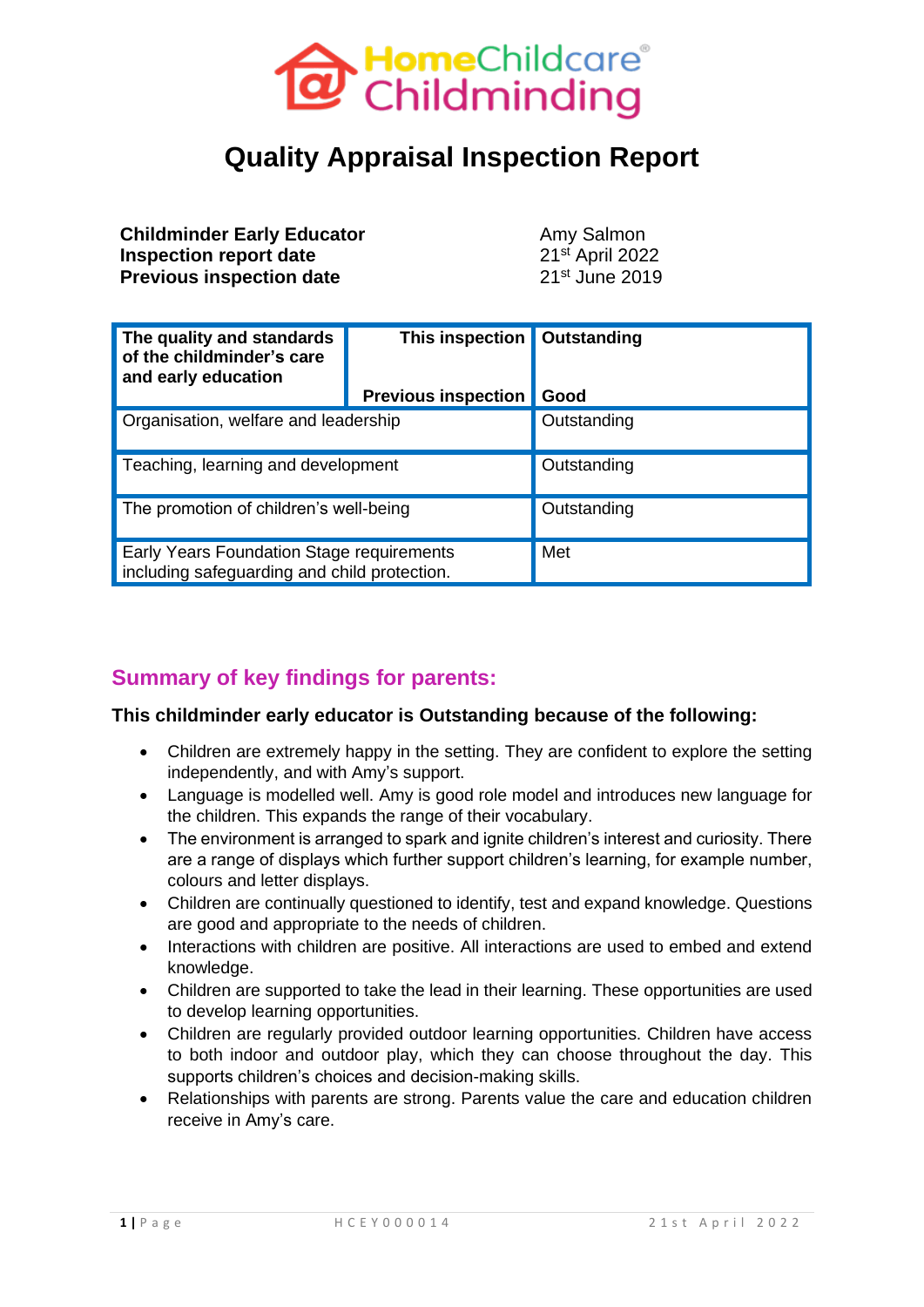

# **Quality Appraisal Inspection Report**

**Childminder Early Educator**  Amy Salmon **Inspection report date** 21<sup>st</sup> April 2022 **Previous inspection date** 21<sup>st</sup> June 2019

| The quality and standards<br>of the childminder's care<br>and early education             | This inspection            | Outstanding |
|-------------------------------------------------------------------------------------------|----------------------------|-------------|
|                                                                                           | <b>Previous inspection</b> | Good        |
| Organisation, welfare and leadership                                                      |                            | Outstanding |
| Teaching, learning and development                                                        |                            | Outstanding |
| The promotion of children's well-being                                                    |                            | Outstanding |
| Early Years Foundation Stage requirements<br>including safeguarding and child protection. |                            | Met         |

### **Summary of key findings for parents:**

**This childminder early educator is Outstanding because of the following:** 

- Children are extremely happy in the setting. They are confident to explore the setting independently, and with Amy's support.
- Language is modelled well. Amy is good role model and introduces new language for the children. This expands the range of their vocabulary.
- The environment is arranged to spark and ignite children's interest and curiosity. There are a range of displays which further support children's learning, for example number, colours and letter displays.
- Children are continually questioned to identify, test and expand knowledge. Questions are good and appropriate to the needs of children.
- Interactions with children are positive. All interactions are used to embed and extend knowledge.
- Children are supported to take the lead in their learning. These opportunities are used to develop learning opportunities.
- Children are regularly provided outdoor learning opportunities. Children have access to both indoor and outdoor play, which they can choose throughout the day. This supports children's choices and decision-making skills.
- Relationships with parents are strong. Parents value the care and education children receive in Amy's care.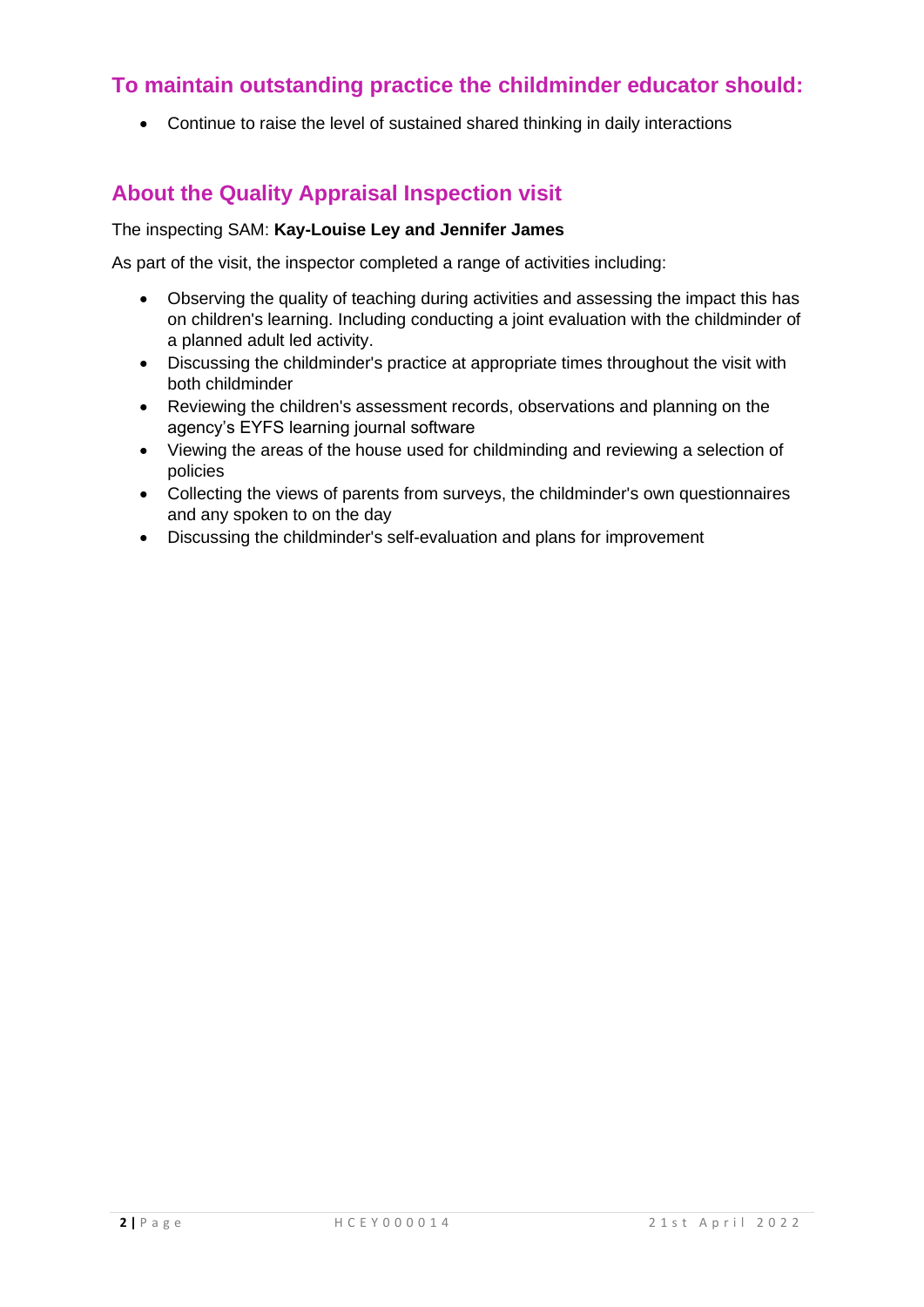# **To maintain outstanding practice the childminder educator should:**

• Continue to raise the level of sustained shared thinking in daily interactions

# **About the Quality Appraisal Inspection visit**

### The inspecting SAM: **Kay-Louise Ley and Jennifer James**

As part of the visit, the inspector completed a range of activities including:

- Observing the quality of teaching during activities and assessing the impact this has on children's learning. Including conducting a joint evaluation with the childminder of a planned adult led activity.
- Discussing the childminder's practice at appropriate times throughout the visit with both childminder
- Reviewing the children's assessment records, observations and planning on the agency's EYFS learning journal software
- Viewing the areas of the house used for childminding and reviewing a selection of policies
- Collecting the views of parents from surveys, the childminder's own questionnaires and any spoken to on the day
- Discussing the childminder's self-evaluation and plans for improvement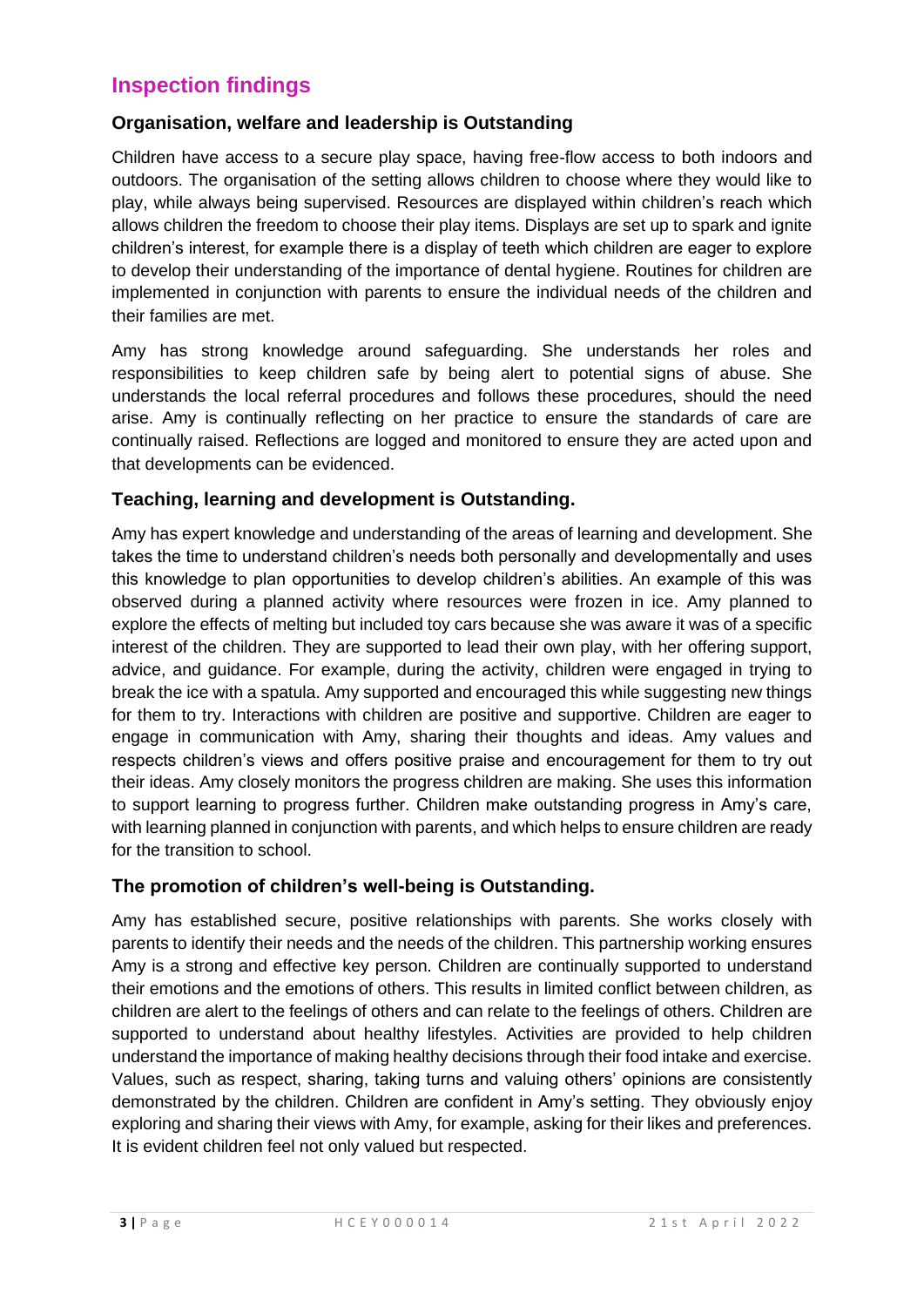### **Inspection findings**

### **Organisation, welfare and leadership is Outstanding**

Children have access to a secure play space, having free-flow access to both indoors and outdoors. The organisation of the setting allows children to choose where they would like to play, while always being supervised. Resources are displayed within children's reach which allows children the freedom to choose their play items. Displays are set up to spark and ignite children's interest, for example there is a display of teeth which children are eager to explore to develop their understanding of the importance of dental hygiene. Routines for children are implemented in conjunction with parents to ensure the individual needs of the children and their families are met.

Amy has strong knowledge around safeguarding. She understands her roles and responsibilities to keep children safe by being alert to potential signs of abuse. She understands the local referral procedures and follows these procedures, should the need arise. Amy is continually reflecting on her practice to ensure the standards of care are continually raised. Reflections are logged and monitored to ensure they are acted upon and that developments can be evidenced.

### **Teaching, learning and development is Outstanding.**

Amy has expert knowledge and understanding of the areas of learning and development. She takes the time to understand children's needs both personally and developmentally and uses this knowledge to plan opportunities to develop children's abilities. An example of this was observed during a planned activity where resources were frozen in ice. Amy planned to explore the effects of melting but included toy cars because she was aware it was of a specific interest of the children. They are supported to lead their own play, with her offering support, advice, and guidance. For example, during the activity, children were engaged in trying to break the ice with a spatula. Amy supported and encouraged this while suggesting new things for them to try. Interactions with children are positive and supportive. Children are eager to engage in communication with Amy, sharing their thoughts and ideas. Amy values and respects children's views and offers positive praise and encouragement for them to try out their ideas. Amy closely monitors the progress children are making. She uses this information to support learning to progress further. Children make outstanding progress in Amy's care, with learning planned in conjunction with parents, and which helps to ensure children are ready for the transition to school.

### **The promotion of children's well-being is Outstanding.**

Amy has established secure, positive relationships with parents. She works closely with parents to identify their needs and the needs of the children. This partnership working ensures Amy is a strong and effective key person. Children are continually supported to understand their emotions and the emotions of others. This results in limited conflict between children, as children are alert to the feelings of others and can relate to the feelings of others. Children are supported to understand about healthy lifestyles. Activities are provided to help children understand the importance of making healthy decisions through their food intake and exercise. Values, such as respect, sharing, taking turns and valuing others' opinions are consistently demonstrated by the children. Children are confident in Amy's setting. They obviously enjoy exploring and sharing their views with Amy, for example, asking for their likes and preferences. It is evident children feel not only valued but respected.